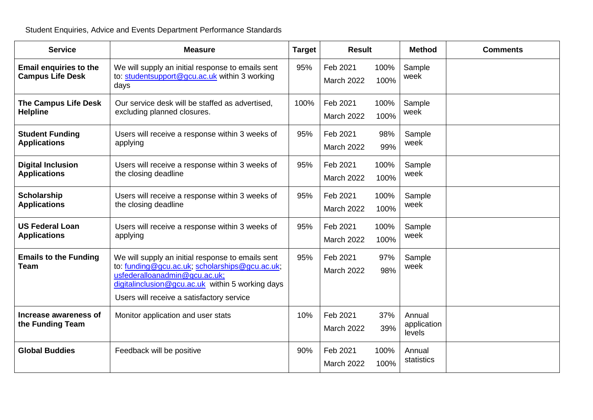Student Enquiries, Advice and Events Department Performance Standards

| <b>Service</b>                                           | <b>Measure</b>                                                                                                                                                                                                                        | <b>Target</b> | <b>Result</b>                 |              | <b>Method</b>                   | <b>Comments</b> |
|----------------------------------------------------------|---------------------------------------------------------------------------------------------------------------------------------------------------------------------------------------------------------------------------------------|---------------|-------------------------------|--------------|---------------------------------|-----------------|
| <b>Email enquiries to the</b><br><b>Campus Life Desk</b> | We will supply an initial response to emails sent<br>to: studentsupport@gcu.ac.uk within 3 working<br>days                                                                                                                            | 95%           | Feb 2021<br><b>March 2022</b> | 100%<br>100% | Sample<br>week                  |                 |
| <b>The Campus Life Desk</b><br><b>Helpline</b>           | Our service desk will be staffed as advertised.<br>excluding planned closures.                                                                                                                                                        | 100%          | Feb 2021<br><b>March 2022</b> | 100%<br>100% | Sample<br>week                  |                 |
| <b>Student Funding</b><br><b>Applications</b>            | Users will receive a response within 3 weeks of<br>applying                                                                                                                                                                           | 95%           | Feb 2021<br><b>March 2022</b> | 98%<br>99%   | Sample<br>week                  |                 |
| <b>Digital Inclusion</b><br><b>Applications</b>          | Users will receive a response within 3 weeks of<br>the closing deadline                                                                                                                                                               | 95%           | Feb 2021<br><b>March 2022</b> | 100%<br>100% | Sample<br>week                  |                 |
| <b>Scholarship</b><br><b>Applications</b>                | Users will receive a response within 3 weeks of<br>the closing deadline                                                                                                                                                               | 95%           | Feb 2021<br><b>March 2022</b> | 100%<br>100% | Sample<br>week                  |                 |
| <b>US Federal Loan</b><br><b>Applications</b>            | Users will receive a response within 3 weeks of<br>applying                                                                                                                                                                           | 95%           | Feb 2021<br><b>March 2022</b> | 100%<br>100% | Sample<br>week                  |                 |
| <b>Emails to the Funding</b><br><b>Team</b>              | We will supply an initial response to emails sent<br>to: funding@gcu.ac.uk; scholarships@gcu.ac.uk;<br>usfederalloanadmin@gcu.ac.uk;<br>digitalinclusion@gcu.ac.uk within 5 working days<br>Users will receive a satisfactory service | 95%           | Feb 2021<br><b>March 2022</b> | 97%<br>98%   | Sample<br>week                  |                 |
| Increase awareness of<br>the Funding Team                | Monitor application and user stats                                                                                                                                                                                                    | 10%           | Feb 2021<br><b>March 2022</b> | 37%<br>39%   | Annual<br>application<br>levels |                 |
| <b>Global Buddies</b>                                    | Feedback will be positive                                                                                                                                                                                                             | 90%           | Feb 2021<br>March 2022        | 100%<br>100% | Annual<br>statistics            |                 |